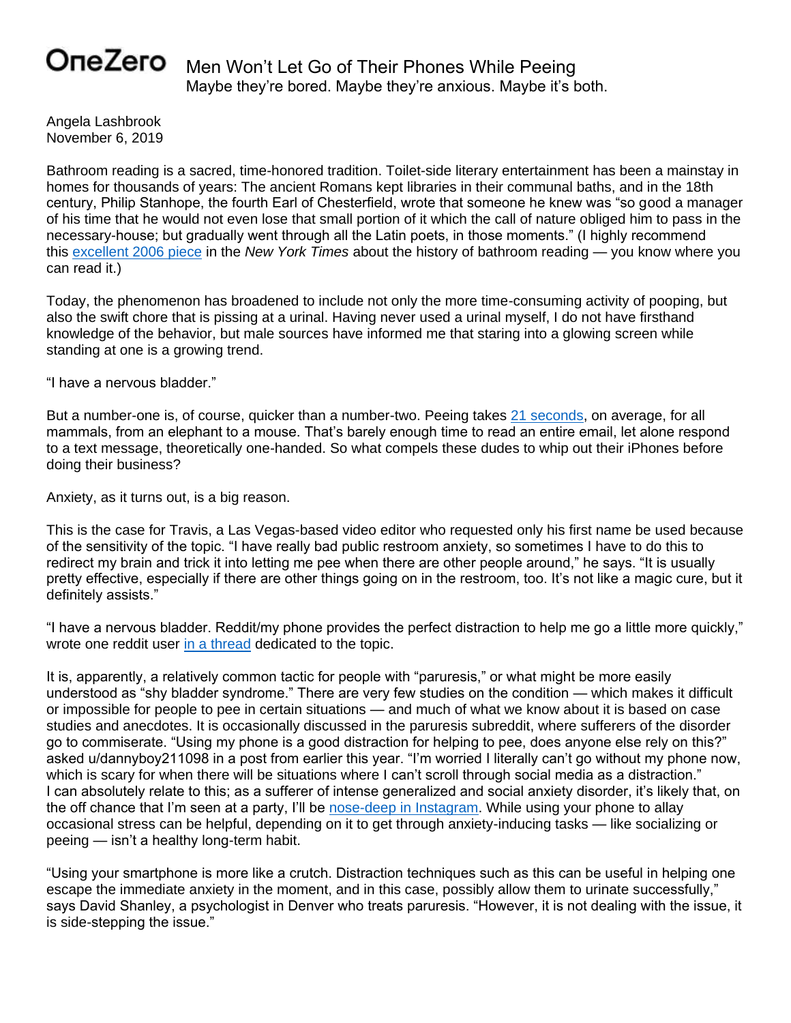## OneZero

Men Won't Let Go of Their Phones While Peeing Maybe they're bored. Maybe they're anxious. Maybe it's both.

Angela Lashbrook November 6, 2019

Bathroom reading is a sacred, time-honored tradition. Toilet-side literary entertainment has been a mainstay in homes for thousands of years: The ancient Romans kept libraries in their communal baths, and in the 18th century, Philip Stanhope, the fourth Earl of Chesterfield, wrote that someone he knew was "so good a manager of his time that he would not even lose that small portion of it which the call of nature obliged him to pass in the necessary-house; but gradually went through all the Latin poets, in those moments." (I highly recommend this [excellent 2006 piece](https://www.nytimes.com/2006/07/23/books/review/23alford.html) in the *New York Times* about the history of bathroom reading — you know where you can read it.)

Today, the phenomenon has broadened to include not only the more time-consuming activity of pooping, but also the swift chore that is pissing at a urinal. Having never used a urinal myself, I do not have firsthand knowledge of the behavior, but male sources have informed me that staring into a glowing screen while standing at one is a growing trend.

"I have a nervous bladder."

But a number-one is, of course, quicker than a number-two. Peeing takes [21 seconds,](https://arxiv.org/abs/1310.3737) on average, for all mammals, from an elephant to a mouse. That's barely enough time to read an entire email, let alone respond to a text message, theoretically one-handed. So what compels these dudes to whip out their iPhones before doing their business?

Anxiety, as it turns out, is a big reason.

This is the case for Travis, a Las Vegas-based video editor who requested only his first name be used because of the sensitivity of the topic. "I have really bad public restroom anxiety, so sometimes I have to do this to redirect my brain and trick it into letting me pee when there are other people around," he says. "It is usually pretty effective, especially if there are other things going on in the restroom, too. It's not like a magic cure, but it definitely assists."

"I have a nervous bladder. Reddit/my phone provides the perfect distraction to help me go a little more quickly," wrote one reddit user [in a thread](https://www.reddit.com/r/AskMen/comments/8hvu11/men_who_use_their_mobile_phones_at_a_urinal_why/) dedicated to the topic.

It is, apparently, a relatively common tactic for people with "paruresis," or what might be more easily understood as "shy bladder syndrome." There are very few studies on the condition — which makes it difficult or impossible for people to pee in certain situations — and much of what we know about it is based on case studies and anecdotes. It is occasionally discussed in the paruresis subreddit, where sufferers of the disorder go to commiserate. "Using my phone is a good distraction for helping to pee, does anyone else rely on this?" asked u/dannyboy211098 in a post from earlier this year. "I'm worried I literally can't go without my phone now, which is scary for when there will be situations where I can't scroll through social media as a distraction." I can absolutely relate to this; as a sufferer of intense generalized and social anxiety disorder, it's likely that, on the off chance that I'm seen at a party, I'll be [nose-deep in Instagram.](https://onezero.medium.com/looking-at-cute-animals-online-is-literally-good-for-your-brain-2eaa291d8568) While using your phone to allay occasional stress can be helpful, depending on it to get through anxiety-inducing tasks — like socializing or peeing — isn't a healthy long-term habit.

"Using your smartphone is more like a crutch. Distraction techniques such as this can be useful in helping one escape the immediate anxiety in the moment, and in this case, possibly allow them to urinate successfully," says David Shanley, a psychologist in Denver who treats paruresis. "However, it is not dealing with the issue, it is side-stepping the issue."